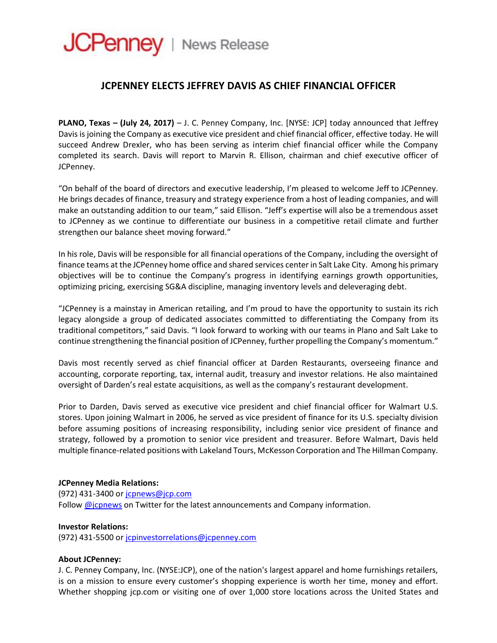# **JCPenney** | News Release

## **JCPENNEY ELECTS JEFFREY DAVIS AS CHIEF FINANCIAL OFFICER**

**PLANO, Texas – (July 24, 2017)** – J. C. Penney Company, Inc. [NYSE: JCP] today announced that Jeffrey Davis is joining the Company as executive vice president and chief financial officer, effective today. He will succeed Andrew Drexler, who has been serving as interim chief financial officer while the Company completed its search. Davis will report to Marvin R. Ellison, chairman and chief executive officer of JCPenney.

"On behalf of the board of directors and executive leadership, I'm pleased to welcome Jeff to JCPenney. He brings decades of finance, treasury and strategy experience from a host of leading companies, and will make an outstanding addition to our team," said Ellison. "Jeff's expertise will also be a tremendous asset to JCPenney as we continue to differentiate our business in a competitive retail climate and further strengthen our balance sheet moving forward."

In his role, Davis will be responsible for all financial operations of the Company, including the oversight of finance teams at the JCPenney home office and shared services center in Salt Lake City. Among his primary objectives will be to continue the Company's progress in identifying earnings growth opportunities, optimizing pricing, exercising SG&A discipline, managing inventory levels and deleveraging debt.

"JCPenney is a mainstay in American retailing, and I'm proud to have the opportunity to sustain its rich legacy alongside a group of dedicated associates committed to differentiating the Company from its traditional competitors," said Davis. "I look forward to working with our teams in Plano and Salt Lake to continue strengthening the financial position of JCPenney, further propelling the Company's momentum."

Davis most recently served as chief financial officer at Darden Restaurants, overseeing finance and accounting, corporate reporting, tax, internal audit, treasury and investor relations. He also maintained oversight of Darden's real estate acquisitions, as well as the company's restaurant development.

Prior to Darden, Davis served as executive vice president and chief financial officer for Walmart U.S. stores. Upon joining Walmart in 2006, he served as vice president of finance for its U.S. specialty division before assuming positions of increasing responsibility, including senior vice president of finance and strategy, followed by a promotion to senior vice president and treasurer. Before Walmart, Davis held multiple finance-related positions with Lakeland Tours, McKesson Corporation and The Hillman Company.

#### **JCPenney Media Relations:**

(972) 431-3400 or [jcpnews@jcp.com](mailto:jcpnews@jcp.com)

Follow [@jcpnews](http://www.twitter.com/jcpnews) on Twitter for the latest announcements and Company information.

#### **Investor Relations:**

(972) 431-5500 or [jcpinvestorrelations@jcpenney.com](mailto:jcpinvestorrelations@jcpenney.com)

### **About JCPenney:**

J. C. Penney Company, Inc. (NYSE:JCP), one of the nation's largest apparel and home furnishings retailers, is on a mission to ensure every customer's shopping experience is worth her time, money and effort. Whether shopping jcp.com or visiting one of over 1,000 store locations across the United States and